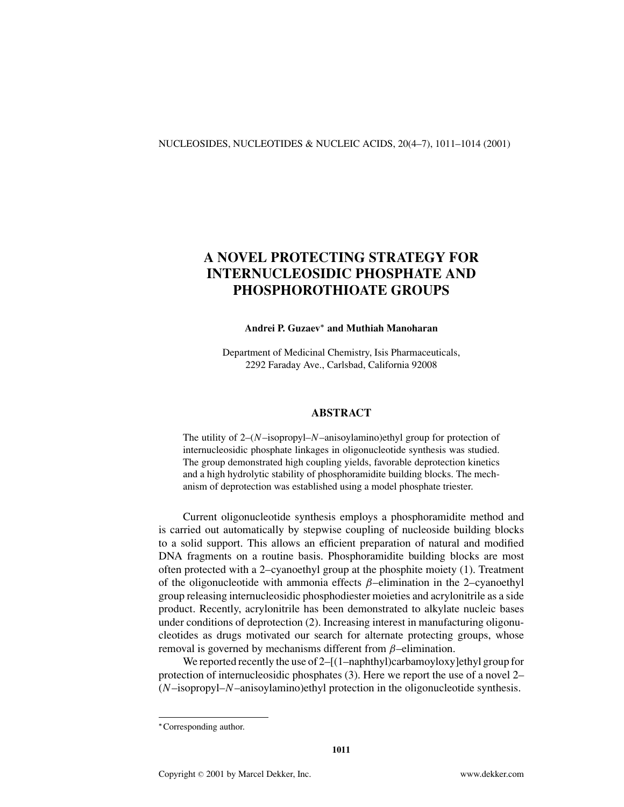#### NUCLEOSIDES, NUCLEOTIDES & NUCLEIC ACIDS, 20(4–7), 1011–1014 (2001)

# **A NOVEL PROTECTING STRATEGY FOR INTERNUCLEOSIDIC PHOSPHATE AND PHOSPHOROTHIOATE GROUPS**

## **Andrei P. Guzaev***<sup>∗</sup>* **and Muthiah Manoharan**

Department of Medicinal Chemistry, Isis Pharmaceuticals, 2292 Faraday Ave., Carlsbad, California 92008

# **ABSTRACT**

The utility of 2–(*N*–isopropyl–*N*–anisoylamino)ethyl group for protection of internucleosidic phosphate linkages in oligonucleotide synthesis was studied. The group demonstrated high coupling yields, favorable deprotection kinetics and a high hydrolytic stability of phosphoramidite building blocks. The mechanism of deprotection was established using a model phosphate triester.

Current oligonucleotide synthesis employs a phosphoramidite method and is carried out automatically by stepwise coupling of nucleoside building blocks to a solid support. This allows an efficient preparation of natural and modified DNA fragments on a routine basis. Phosphoramidite building blocks are most often protected with a 2–cyanoethyl group at the phosphite moiety (1). Treatment of the oligonucleotide with ammonia effects  $\beta$ –elimination in the 2–cyanoethyl group releasing internucleosidic phosphodiester moieties and acrylonitrile as a side product. Recently, acrylonitrile has been demonstrated to alkylate nucleic bases under conditions of deprotection (2). Increasing interest in manufacturing oligonucleotides as drugs motivated our search for alternate protecting groups, whose removal is governed by mechanisms different from  $\beta$ –elimination.

We reported recently the use of 2–[(1–naphthyl)carbamoyloxy]ethyl group for protection of internucleosidic phosphates (3). Here we report the use of a novel 2– (*N*–isopropyl–*N*–anisoylamino)ethyl protection in the oligonucleotide synthesis.

*<sup>∗</sup>*Corresponding author.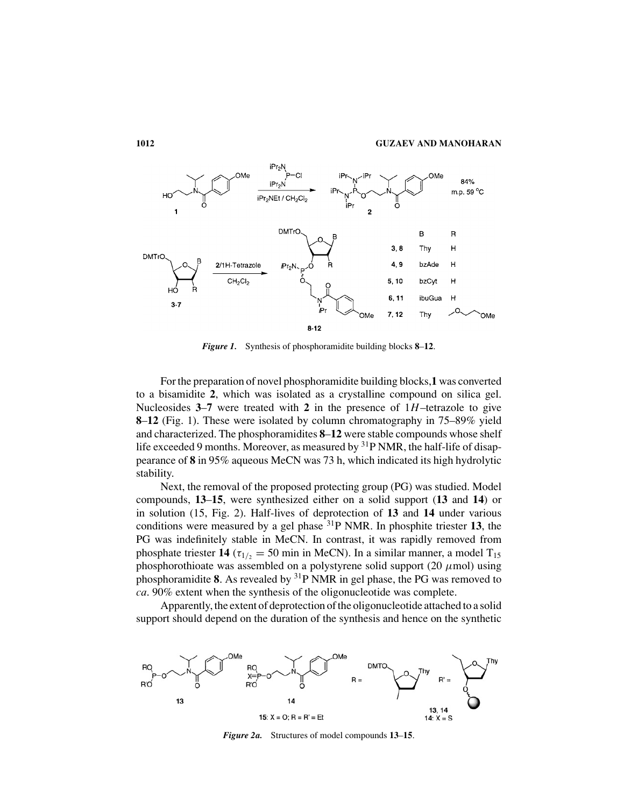

*Figure 1.* Synthesis of phosphoramidite building blocks **8**–**12**.

For the preparation of novel phosphoramidite building blocks,**1** was converted to a bisamidite **2**, which was isolated as a crystalline compound on silica gel. Nucleosides  $3-7$  were treated with 2 in the presence of  $1H$ –tetrazole to give **8**–**12** (Fig. 1). These were isolated by column chromatography in 75–89% yield and characterized. The phosphoramidites **8**–**12** were stable compounds whose shelf life exceeded 9 months. Moreover, as measured by  ${}^{31}P$  NMR, the half-life of disappearance of **8** in 95% aqueous MeCN was 73 h, which indicated its high hydrolytic stability.

Next, the removal of the proposed protecting group (PG) was studied. Model compounds, **13**–**15**, were synthesized either on a solid support (**13** and **14**) or in solution (15, Fig. 2). Half-lives of deprotection of **13** and **14** under various conditions were measured by a gel phase 31P NMR. In phosphite triester **13**, the PG was indefinitely stable in MeCN. In contrast, it was rapidly removed from phosphate triester **14** ( $\tau_{1/2} = 50$  min in MeCN). In a similar manner, a model T<sub>15</sub> phosphorothioate was assembled on a polystyrene solid support (20  $\mu$ mol) using phosphoramidite **8**. As revealed by 31P NMR in gel phase, the PG was removed to *ca*. 90% extent when the synthesis of the oligonucleotide was complete.

Apparently, the extent of deprotection of the oligonucleotide attached to a solid support should depend on the duration of the synthesis and hence on the synthetic



*Figure 2a.* Structures of model compounds **13**–**15**.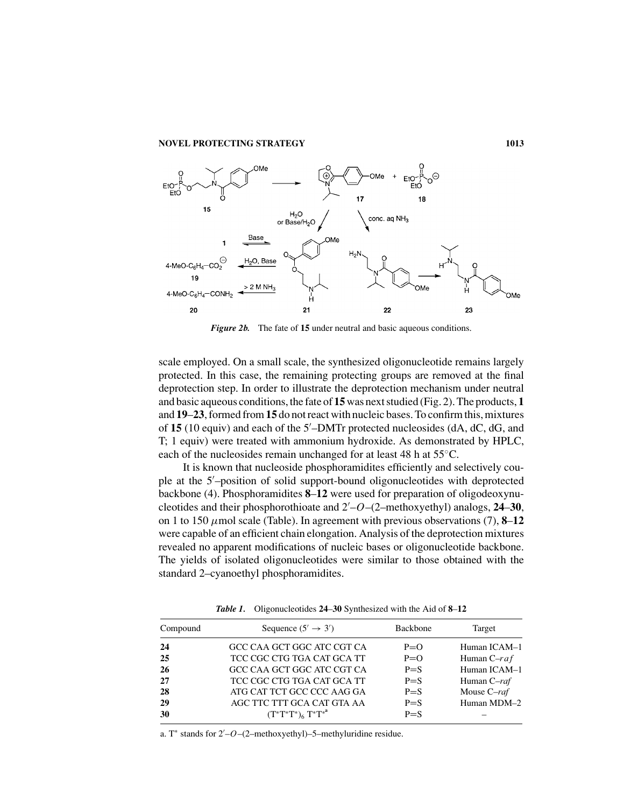

*Figure 2b.* The fate of **15** under neutral and basic aqueous conditions.

scale employed. On a small scale, the synthesized oligonucleotide remains largely protected. In this case, the remaining protecting groups are removed at the final deprotection step. In order to illustrate the deprotection mechanism under neutral and basic aqueous conditions, the fate of **15**was next studied (Fig. 2). The products, **1** and **19**–**23**, formed from**15** do not react with nucleic bases. To confirm this, mixtures of **15** (10 equiv) and each of the 5 –DMTr protected nucleosides (dA, dC, dG, and T; 1 equiv) were treated with ammonium hydroxide. As demonstrated by HPLC, each of the nucleosides remain unchanged for at least 48 h at 55◦C.

It is known that nucleoside phosphoramidites efficiently and selectively couple at the 5 –position of solid support-bound oligonucleotides with deprotected backbone (4). Phosphoramidites **8**–**12** were used for preparation of oligodeoxynucleotides and their phosphorothioate and 2 –*O*–(2–methoxyethyl) analogs, **24**–**30**, on 1 to 150  $\mu$ mol scale (Table). In agreement with previous observations (7), **8–12** were capable of an efficient chain elongation. Analysis of the deprotection mixtures revealed no apparent modifications of nucleic bases or oligonucleotide backbone. The yields of isolated oligonucleotides were similar to those obtained with the standard 2–cyanoethyl phosphoramidites.

| Sequence $(5' \rightarrow 3')$<br><b>Backbone</b><br>Compound<br>Target<br>GCC CAA GCT GGC ATC CGT CA<br>$P=O$<br>24<br>TCC CGC CTG TGA CAT GCA TT<br>25<br>$P=O$<br>Human $C$ -raf<br>GCC CAA GCT GGC ATC CGT CA<br>26<br>$P = S$<br>TCC CGC CTG TGA CAT GCA TT<br>27<br>$P = S$<br>Human C-raf<br>Mouse C-raf<br>ATG CAT TCT GCC CCC AAG GA<br>28<br>$P = S$<br>AGC TTC TTT GCA CAT GTA AA<br>29<br>$P = S$<br>$(T^*T^*T^*)_6 T^*T^{*^a}$<br>30<br>$P = S$ |  |              |
|--------------------------------------------------------------------------------------------------------------------------------------------------------------------------------------------------------------------------------------------------------------------------------------------------------------------------------------------------------------------------------------------------------------------------------------------------------------|--|--------------|
|                                                                                                                                                                                                                                                                                                                                                                                                                                                              |  |              |
|                                                                                                                                                                                                                                                                                                                                                                                                                                                              |  | Human ICAM-1 |
|                                                                                                                                                                                                                                                                                                                                                                                                                                                              |  |              |
|                                                                                                                                                                                                                                                                                                                                                                                                                                                              |  | Human ICAM-1 |
|                                                                                                                                                                                                                                                                                                                                                                                                                                                              |  |              |
|                                                                                                                                                                                                                                                                                                                                                                                                                                                              |  |              |
|                                                                                                                                                                                                                                                                                                                                                                                                                                                              |  | Human MDM-2  |
|                                                                                                                                                                                                                                                                                                                                                                                                                                                              |  |              |

*Table 1.* Oligonucleotides **24**–**30** Synthesized with the Aid of **8**–**12**

a. T<sup>∗</sup> stands for 2 –*O*–(2–methoxyethyl)–5–methyluridine residue.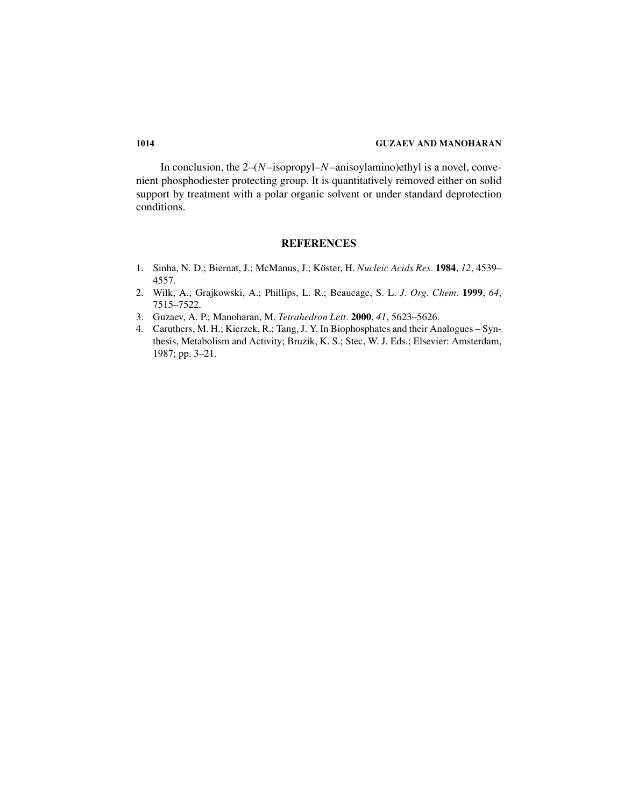## **1014 GUZAEV AND MANOHARAN**

In conclusion, the 2–(*N*–isopropyl–*N*–anisoylamino)ethyl is a novel, convenient phosphodiester protecting group. It is quantitatively removed either on solid support by treatment with a polar organic solvent or under standard deprotection conditions.

# **REFERENCES**

- 1. Sinha, N. D.; Biernat, J.; McManus, J.; Köster, H. Nucleic Acids Res. 1984, 12, 4539– 4557.
- 2. Wilk, A.; Grajkowski, A.; Phillips, L. R.; Beaucage, S. L. *J. Org. Chem.* **1999**, *64*, 7515–7522.
- 3. Guzaev, A. P.; Manoharan, M. *Tetrahedron Lett.* **2000**, *41*, 5623–5626.
- 4. Caruthers, M. H.; Kierzek, R.; Tang, J. Y. In Biophosphates and their Analogues Synthesis, Metabolism and Activity; Bruzik, K. S.; Stec, W. J. Eds.; Elsevier: Amsterdam, 1987; pp. 3–21.